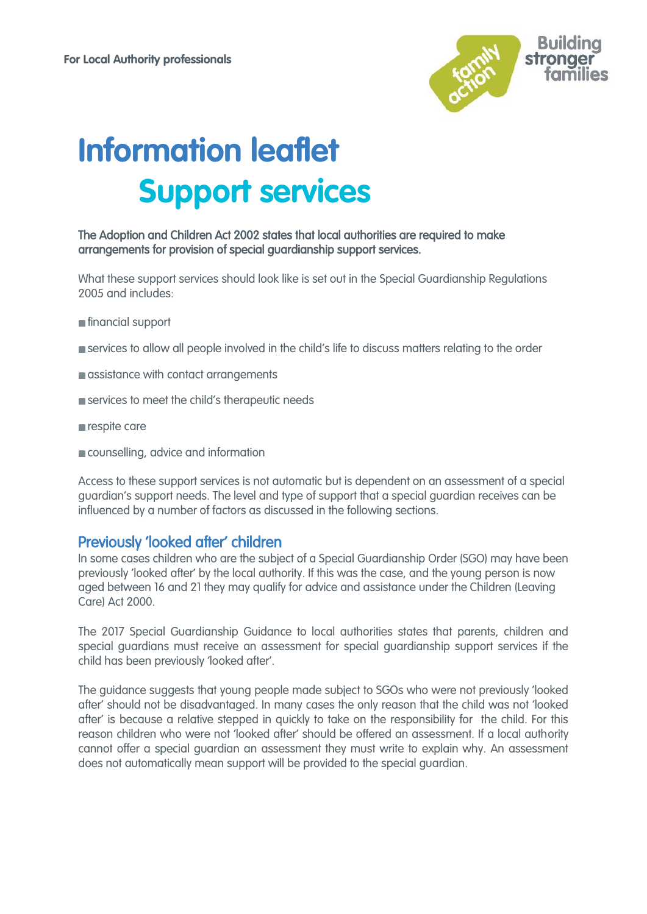

# **Information leaflet Support services**

#### The Adoption and Children Act 2002 states that local authorities are required to make arrangements for provision of special guardianship support services.

What these support services should look like is set out in the [Special Guardianship Regulations](https://www.gov.uk/government/uploads/system/uploads/attachment_data/file/586406/Special_Guardianship_Statutory_Guidance_20_January_2017.pdf)  [2005](https://www.gov.uk/government/uploads/system/uploads/attachment_data/file/586406/Special_Guardianship_Statutory_Guidance_20_January_2017.pdf) and includes:

- financial support
- **Services to allow all people involved in the child's life to discuss matters relating to the order**
- **a** assistance with contact arrangements
- services to meet the child's therapeutic needs
- respite care
- counselling, advice and information

Access to these support services is not automatic but is dependent on an assessment of a special guardian's support needs. The level and type of support that a special guardian receives can be influenced by a number of factors as discussed in the following sections.

## Previously 'looked after' children

In some cases children who are the subject of a Special Guardianship Order (SGO) may have been previously 'looked after' by the local authority. If this was the case, and the young person is now aged between 16 and 21 they may qualify for advice and assistance under the Children (Leaving Care) Act 2000.

The 2017 Special Guardianship Guidance to local authorities states that parents, children and special guardians must receive an assessment for special guardianship support services if the child has been previously 'looked after'.

The guidance suggests that young people made subject to SGOs who were not previously 'looked after' should not be disadvantaged. In many cases the only reason that the child was not 'looked after' is because a relative stepped in quickly to take on the responsibility for the child. For this reason children who were not 'looked after' should be offered an assessment. If a local authority cannot offer a special guardian an assessment they must write to explain why. An assessment does not automatically mean support will be provided to the special guardian.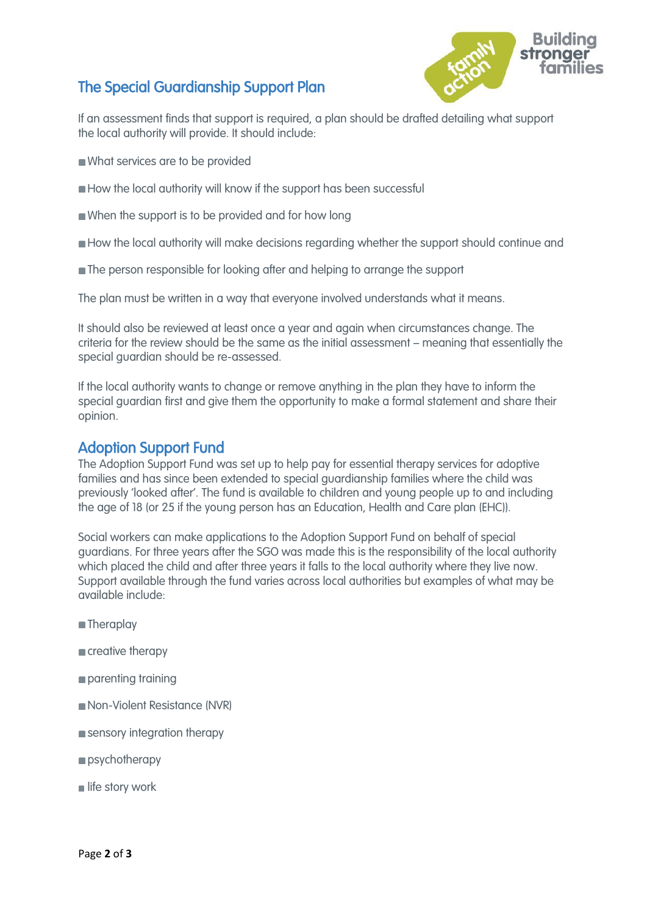# The Special Guardianship Support Plan



If an assessment finds that support is required, a plan should be drafted detailing what support the local authority will provide. It should include:

- What services are to be provided
- How the local authority will know if the support has been successful
- When the support is to be provided and for how long
- **How the local authority will make decisions regarding whether the support should continue and**
- The person responsible for looking after and helping to arrange the support

The plan must be written in a way that everyone involved understands what it means.

It should also be reviewed at least once a year and again when circumstances change. The criteria for the review should be the same as the initial assessment – meaning that essentially the special guardian should be re-assessed.

If the local authority wants to change or remove anything in the plan they have to inform the special guardian first and give them the opportunity to make a formal statement and share their opinion.

## Adoption Support Fund

The Adoption Support Fund was set up to help pay for essential therapy services for adoptive families and has since been extended to special guardianship families where the child was previously 'looked after'. The fund is available to children and young people up to and including the age of 18 (or 25 if the young person has an Education, Health and Care plan (EHC)).

Social workers can make applications to the Adoption Support Fund on behalf of special guardians. For three years after the SGO was made this is the responsibility of the local authority which placed the child and after three years it falls to the local authority where they live now. Support available through the fund varies across local authorities but examples of what may be available include:

- **Theraplay**
- creative therapy
- parenting training
- Non-Violent Resistance (NVR)
- sensory integration therapy
- **psychotherapy**
- $\blacksquare$  life story work